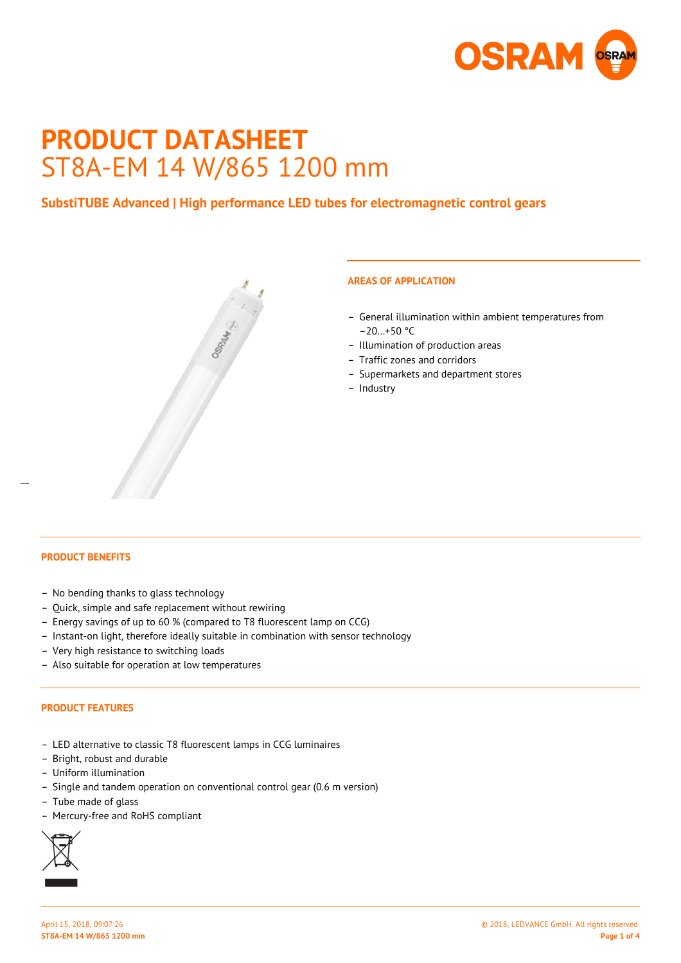

# **PRODUCT DATASHEET** ST8A-EM 14 W/865 1200 mm

## **SubstiTUBE Advanced | High performance LED tubes for electromagnetic control gears**



## **AREAS OF APPLICATION**

- General illumination within ambient temperatures from  $-20...+50$  °C
- Illumination of production areas
- Traffic zones and corridors
- Supermarkets and department stores
- Industry

#### **PRODUCT BENEFITS**

 $\overline{a}$ 

- No bending thanks to glass technology
- Quick, simple and safe replacement without rewiring
- Energy savings of up to 60 % (compared to T8 fluorescent lamp on CCG)
- Instant-on light, therefore ideally suitable in combination with sensor technology
- Very high resistance to switching loads
- Also suitable for operation at low temperatures

#### **PRODUCT FEATURES**

- LED alternative to classic T8 fluorescent lamps in CCG luminaires
- Bright, robust and durable
- Uniform illumination
- Single and tandem operation on conventional control gear (0.6 m version)
- Tube made of glass
- Mercury-free and RoHS compliant

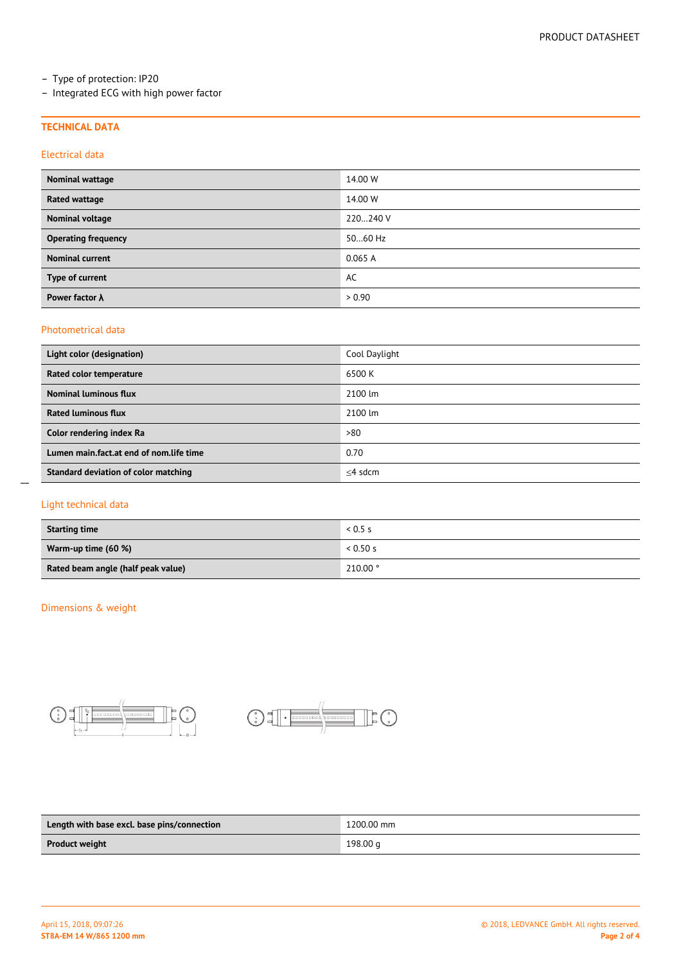## – Type of protection: IP20

– Integrated ECG with high power factor

## **TECHNICAL DATA**

#### Electrical data

| <b>Nominal wattage</b>     | 14.00 W  |
|----------------------------|----------|
| Rated wattage              | 14.00 W  |
| <b>Nominal voltage</b>     | 220240 V |
| <b>Operating frequency</b> | 5060 Hz  |
| <b>Nominal current</b>     | 0.065A   |
| Type of current            | AC       |
| Power factor $\lambda$     | > 0.90   |

#### Photometrical data

| Light color (designation)               | Cool Daylight |  |  |
|-----------------------------------------|---------------|--|--|
| Rated color temperature                 | 6500 K        |  |  |
| <b>Nominal luminous flux</b>            | 2100 lm       |  |  |
| <b>Rated luminous flux</b>              | 2100 lm       |  |  |
| Color rendering index Ra                | >80           |  |  |
| Lumen main.fact.at end of nom.life time | 0.70          |  |  |
| Standard deviation of color matching    | $<$ 4 sdcm    |  |  |

## Light technical data

 $\overline{a}$ 

| <b>Starting time</b>               | 0.5s    |
|------------------------------------|---------|
| Warm-up time (60 %)                | 0.50 s  |
| Rated beam angle (half peak value) | 210.00° |

## Dimensions & weight





| Length with base excl. base pins/connection | 1200.00 mm |  |
|---------------------------------------------|------------|--|
| <b>Product weight</b><br>_____              | 198.00 q   |  |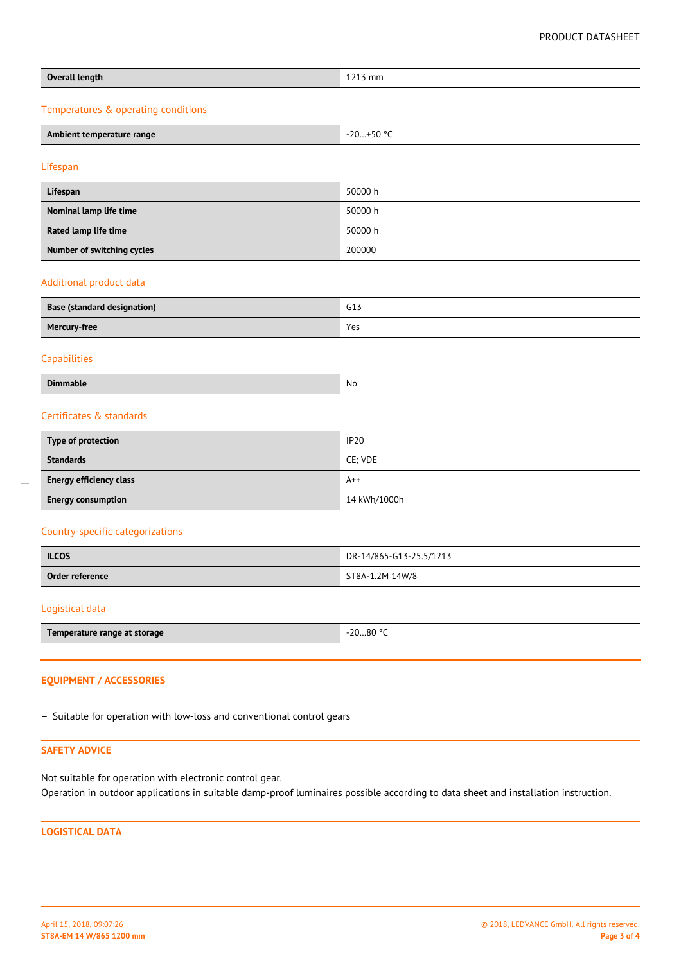#### PRODUCT DATASHEET

| <b>Overall length</b>                    | 1213 mm                 |  |  |  |
|------------------------------------------|-------------------------|--|--|--|
| Temperatures & operating conditions      |                         |  |  |  |
| $-20+50$ °C<br>Ambient temperature range |                         |  |  |  |
| Lifespan                                 |                         |  |  |  |
| Lifespan                                 | 50000 h                 |  |  |  |
| Nominal lamp life time                   | 50000 h                 |  |  |  |
| Rated lamp life time                     | 50000 h                 |  |  |  |
| Number of switching cycles               | 200000                  |  |  |  |
| Additional product data                  |                         |  |  |  |
| <b>Base (standard designation)</b>       | G13                     |  |  |  |
| Mercury-free                             | Yes                     |  |  |  |
| Capabilities                             |                         |  |  |  |
| <b>Dimmable</b>                          | No                      |  |  |  |
| Certificates & standards                 |                         |  |  |  |
| Type of protection                       | <b>IP20</b>             |  |  |  |
| <b>Standards</b>                         | CE; VDE                 |  |  |  |
| <b>Energy efficiency class</b>           | $A++$                   |  |  |  |
| <b>Energy consumption</b>                | 14 kWh/1000h            |  |  |  |
| Country-specific categorizations         |                         |  |  |  |
| <b>ILCOS</b>                             | DR-14/865-G13-25.5/1213 |  |  |  |
| Order reference                          | ST8A-1.2M 14W/8         |  |  |  |

 $\overline{a}$ 

| Temperature range at storage | -20…80 ° <sup>C</sup> |
|------------------------------|-----------------------|
|------------------------------|-----------------------|

## **EQUIPMENT / ACCESSORIES**

– Suitable for operation with low-loss and conventional control gears

## **SAFETY ADVICE**

Not suitable for operation with electronic control gear. Operation in outdoor applications in suitable damp-proof luminaires possible according to data sheet and installation instruction.

## **LOGISTICAL DATA**